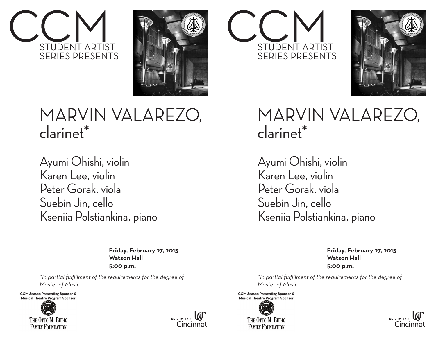



## MARVIN VALAREZO, clarinet\*

Ayumi Ohishi, violin Karen Lee, violin Peter Gorak, viola Suebin Jin, cello Kseniia Polstiankina, piano

> **Friday, February 27, 2015 Watson Hall 5:00 p.m.**

*\*In partial fulfillment of the requirements for the degree of Master of Music*

**CCM Season Presenting Sponsor & Musical Theatre Program Sponsor**